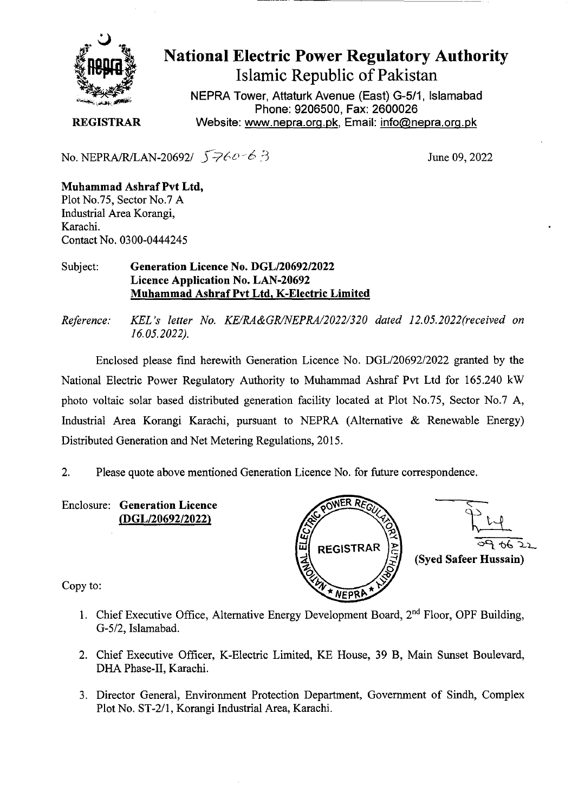

## **National Electric Power Regulatory Authority Islamic Republic of Pakistan**

NEPRA Tower, Attaturk Avenue (East) G-5/1, Islamabad Phone: 9206500, Fax: 2600026 **REGISTRAR** Website: www.nepra.org.pk, Email: info@nepra.org.pk

No. NEPRA/R/LAN-20692/ *5760-6* 3 June 09, 2022

**Muhammad Ashraf Pvt Ltd,**  Plot No.75, Sector No.7 A Industrial Area Korangi, Karachi. Contact No. 03 00-0444245

## Subject: **Generation Licence No.** *DGL/2069212022*  **Licence Application No. LAN-20692 Muhammad Ashraf Pvt Ltd, K-Electric Limited**

*Reference: KEL 's letter No. KE/RA&GRJNEPRA/2022/320 dated 12.05.2022(received on 16.05.2022).* 

Enclosed please find herewith Generation Licence No. DGL/20692/2022 granted by the National Electric Power Regulatory Authority to Muhammad Ashraf Pvt Ltd for 165.240 kW photo voltaic solar based distributed generation facility located at Plot No.75, Sector No.7 A, Industrial Area Korangi Karachi, pursuant to NEPRA (Alternative & Renewable Energy) Distributed Generation and Net Metering Regulations, 2015.

2. Please quote above mentioned Generation Licence No. for future correspondence.

Enclosure: **Generation Licence (DGL/20692/2022)** 



Copy to:

- 1. Chief Executive Office, Alternative Energy Development Board, 2<sup>nd</sup> Floor, OPF Building, G-5/2, Islamabad.
- 2. Chief Executive Officer, K-Electric Limited, KE House, 39 B, Main Sunset Boulevard, DHA Phase-II, Karachi.
- 3. Director General, Environment Protection Department, Government of Sindh, Complex Plot No. ST-2/1, Korangi Industrial Area, Karachi.